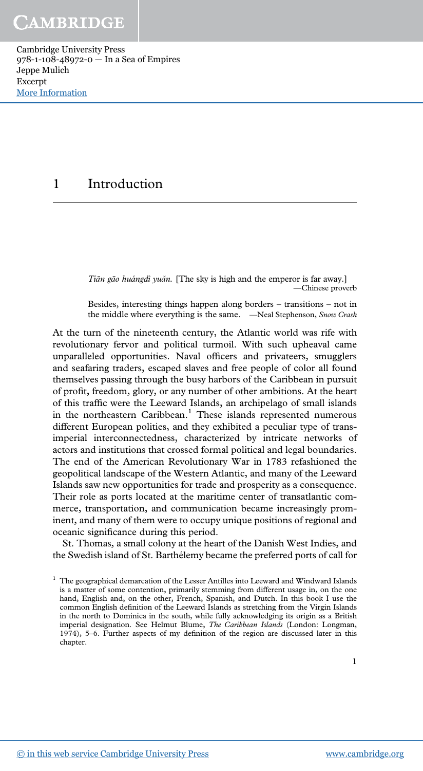### 1 Introduction

*Tiān gāo huángdì yuǎn.* [The sky is high and the emperor is far away.] —Chinese proverb

Besides, interesting things happen along borders – transitions – not in the middle where everything is the same. —Neal Stephenson, *Snow Crash*

At the turn of the nineteenth century, the Atlantic world was rife with revolutionary fervor and political turmoil. With such upheaval came unparalleled opportunities. Naval officers and privateers, smugglers and seafaring traders, escaped slaves and free people of color all found themselves passing through the busy harbors of the Caribbean in pursuit of profit, freedom, glory, or any number of other ambitions. At the heart of this traffic were the Leeward Islands, an archipelago of small islands in the northeastern Caribbean.<sup>1</sup> These islands represented numerous different European polities, and they exhibited a peculiar type of transimperial interconnectedness, characterized by intricate networks of actors and institutions that crossed formal political and legal boundaries. The end of the American Revolutionary War in 1783 refashioned the geopolitical landscape of the Western Atlantic, and many of the Leeward Islands saw new opportunities for trade and prosperity as a consequence. Their role as ports located at the maritime center of transatlantic commerce, transportation, and communication became increasingly prominent, and many of them were to occupy unique positions of regional and oceanic significance during this period.

St. Thomas, a small colony at the heart of the Danish West Indies, and the Swedish island of St. Barthélemy became the preferred ports of call for

 $1$  The geographical demarcation of the Lesser Antilles into Leeward and Windward Islands is a matter of some contention, primarily stemming from different usage in, on the one hand, English and, on the other, French, Spanish, and Dutch. In this book I use the common English definition of the Leeward Islands as stretching from the Virgin Islands in the north to Dominica in the south, while fully acknowledging its origin as a British imperial designation. See Helmut Blume, *The Caribbean Islands* (London: Longman, 1974), 5–6. Further aspects of my definition of the region are discussed later in this chapter.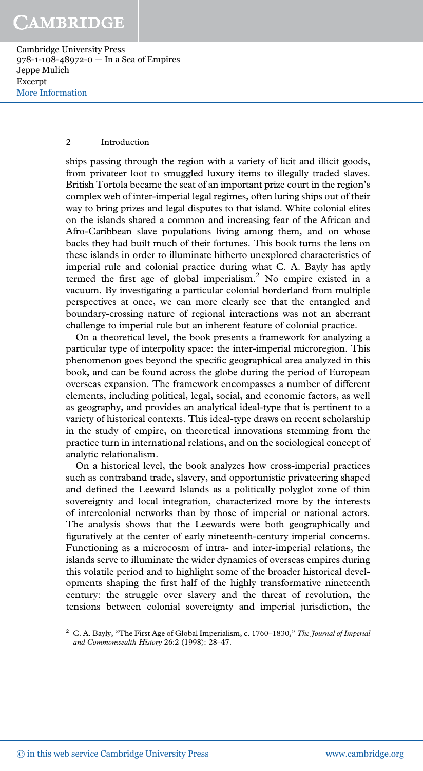Cambridge University Press 978-1-108-48972-0 — In a Sea of Empires Jeppe Mulich Excerpt [More Information](www.cambridge.org/9781108489720)

### 2 Introduction

ships passing through the region with a variety of licit and illicit goods, from privateer loot to smuggled luxury items to illegally traded slaves. British Tortola became the seat of an important prize court in the region's complex web of inter-imperial legal regimes, often luring ships out of their way to bring prizes and legal disputes to that island. White colonial elites on the islands shared a common and increasing fear of the African and Afro-Caribbean slave populations living among them, and on whose backs they had built much of their fortunes. This book turns the lens on these islands in order to illuminate hitherto unexplored characteristics of imperial rule and colonial practice during what C. A. Bayly has aptly termed the first age of global imperialism. $<sup>2</sup>$  No empire existed in a</sup> vacuum. By investigating a particular colonial borderland from multiple perspectives at once, we can more clearly see that the entangled and boundary-crossing nature of regional interactions was not an aberrant challenge to imperial rule but an inherent feature of colonial practice.

On a theoretical level, the book presents a framework for analyzing a particular type of interpolity space: the inter-imperial microregion. This phenomenon goes beyond the specific geographical area analyzed in this book, and can be found across the globe during the period of European overseas expansion. The framework encompasses a number of different elements, including political, legal, social, and economic factors, as well as geography, and provides an analytical ideal-type that is pertinent to a variety of historical contexts. This ideal-type draws on recent scholarship in the study of empire, on theoretical innovations stemming from the practice turn in international relations, and on the sociological concept of analytic relationalism.

On a historical level, the book analyzes how cross-imperial practices such as contraband trade, slavery, and opportunistic privateering shaped and defined the Leeward Islands as a politically polyglot zone of thin sovereignty and local integration, characterized more by the interests of intercolonial networks than by those of imperial or national actors. The analysis shows that the Leewards were both geographically and figuratively at the center of early nineteenth-century imperial concerns. Functioning as a microcosm of intra- and inter-imperial relations, the islands serve to illuminate the wider dynamics of overseas empires during this volatile period and to highlight some of the broader historical developments shaping the first half of the highly transformative nineteenth century: the struggle over slavery and the threat of revolution, the tensions between colonial sovereignty and imperial jurisdiction, the

<sup>2</sup> C. A. Bayly, "The First Age of Global Imperialism, c. 1760–1830," *The Journal of Imperial and Commonwealth History* 26:2 (1998): 28–47.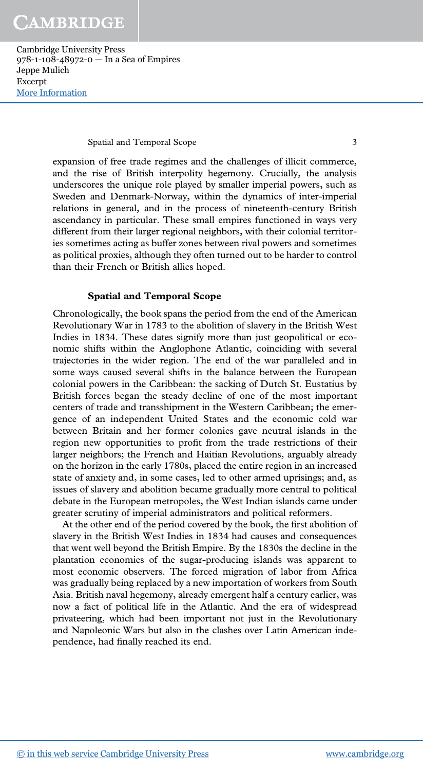Cambridge University Press 978-1-108-48972-0 — In a Sea of Empires Jeppe Mulich Excerpt [More Information](www.cambridge.org/9781108489720)

### Spatial and Temporal Scope 3

expansion of free trade regimes and the challenges of illicit commerce, and the rise of British interpolity hegemony. Crucially, the analysis underscores the unique role played by smaller imperial powers, such as Sweden and Denmark-Norway, within the dynamics of inter-imperial relations in general, and in the process of nineteenth-century British ascendancy in particular. These small empires functioned in ways very different from their larger regional neighbors, with their colonial territories sometimes acting as buffer zones between rival powers and sometimes as political proxies, although they often turned out to be harder to control than their French or British allies hoped.

### **Spatial and Temporal Scope**

Chronologically, the book spans the period from the end of the American Revolutionary War in 1783 to the abolition of slavery in the British West Indies in 1834. These dates signify more than just geopolitical or economic shifts within the Anglophone Atlantic, coinciding with several trajectories in the wider region. The end of the war paralleled and in some ways caused several shifts in the balance between the European colonial powers in the Caribbean: the sacking of Dutch St. Eustatius by British forces began the steady decline of one of the most important centers of trade and transshipment in the Western Caribbean; the emergence of an independent United States and the economic cold war between Britain and her former colonies gave neutral islands in the region new opportunities to profit from the trade restrictions of their larger neighbors; the French and Haitian Revolutions, arguably already on the horizon in the early 1780s, placed the entire region in an increased state of anxiety and, in some cases, led to other armed uprisings; and, as issues of slavery and abolition became gradually more central to political debate in the European metropoles, the West Indian islands came under greater scrutiny of imperial administrators and political reformers.

At the other end of the period covered by the book, the first abolition of slavery in the British West Indies in 1834 had causes and consequences that went well beyond the British Empire. By the 1830s the decline in the plantation economies of the sugar-producing islands was apparent to most economic observers. The forced migration of labor from Africa was gradually being replaced by a new importation of workers from South Asia. British naval hegemony, already emergent half a century earlier, was now a fact of political life in the Atlantic. And the era of widespread privateering, which had been important not just in the Revolutionary and Napoleonic Wars but also in the clashes over Latin American independence, had finally reached its end.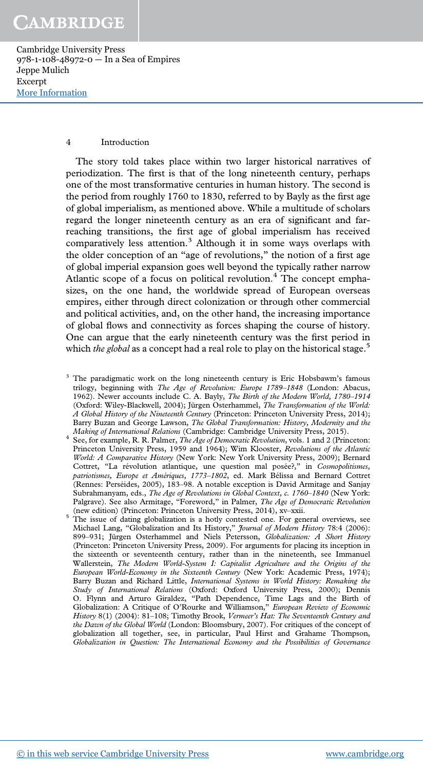Cambridge University Press 978-1-108-48972-0 — In a Sea of Empires Jeppe Mulich Excerpt [More Information](www.cambridge.org/9781108489720)

### 4 Introduction

The story told takes place within two larger historical narratives of periodization. The first is that of the long nineteenth century, perhaps one of the most transformative centuries in human history. The second is the period from roughly 1760 to 1830, referred to by Bayly as the first age of global imperialism, as mentioned above. While a multitude of scholars regard the longer nineteenth century as an era of significant and farreaching transitions, the first age of global imperialism has received comparatively less attention.<sup>3</sup> Although it in some ways overlaps with the older conception of an "age of revolutions," the notion of a first age of global imperial expansion goes well beyond the typically rather narrow Atlantic scope of a focus on political revolution.<sup>4</sup> The concept emphasizes, on the one hand, the worldwide spread of European overseas empires, either through direct colonization or through other commercial and political activities, and, on the other hand, the increasing importance of global flows and connectivity as forces shaping the course of history. One can argue that the early nineteenth century was the first period in which *the global* as a concept had a real role to play on the historical stage.<sup>5</sup>

- 4 See, for example, R. R. Palmer, *The Age of Democratic Revolution*, vols. 1 and 2 (Princeton: Princeton University Press, 1959 and 1964); Wim Klooster, *Revolutions of the Atlantic World: A Comparative History* (New York: New York University Press, 2009); Bernard Cottret, "La révolution atlantique, une question mal posée?," in *Cosmopolitismes, patriotismes, Europe et Amériques, 1773–1802*, ed. Mark Bélissa and Bernard Cottret (Rennes: Perséides, 2005), 183–98. A notable exception is David Armitage and Sanjay Subrahmanyam, eds., *The Age of Revolutions in Global Context, c. 1760–1840* (New York: Palgrave). See also Armitage, "Foreword," in Palmer, *The Age of Democratic Revolution* (new edition) (Princeton: Princeton University Press, 2014), xv–xxii.
- $5$  The issue of dating globalization is a hotly contested one. For general overviews, see Michael Lang, "Globalization and Its History," *Journal of Modern History* 78:4 (2006): 899–931; Jürgen Osterhammel and Niels Petersson, *Globalization: A Short History* (Princeton: Princeton University Press, 2009). For arguments for placing its inception in the sixteenth or seventeenth century, rather than in the nineteenth, see Immanuel Wallerstein, The Modern World-System I: Capitalist Agriculture and the Origins of the *European World-Economy in the Sixteenth Century* (New York: Academic Press, 1974); Barry Buzan and Richard Little, *International Systems in World History: Remaking the Study of International Relations* (Oxford: Oxford University Press, 2000); Dennis O. Flynn and Arturo Giraldez, "Path Dependence, Time Lags and the Birth of Globalization: A Critique of O'Rourke and Williamson," *European Review of Economic History* 8(1) (2004): 81–108; Timothy Brook, *Vermeer's Hat: The Seventeenth Century and the Dawn of the Global World* (London: Bloomsbury, 2007). For critiques of the concept of globalization all together, see, in particular, Paul Hirst and Grahame Thompson, Globalization in Question: The International Economy and the Possibilities of Governance

 $3$  The paradigmatic work on the long nineteenth century is Eric Hobsbawm's famous trilogy, beginning with *The Age of Revolution: Europe 1789–1848* (London: Abacus, 1962). Newer accounts include C. A. Bayly, *The Birth of the Modern World, 1780–1914* (Oxford: Wiley-Blackwell, 2004); Jürgen Osterhammel, *The Transformation of the World: A Global History of the Nineteenth Century* (Princeton: Princeton University Press, 2014); Barry Buzan and George Lawson, *The Global Transformation: History, Modernity and the Making of International Relations* (Cambridge: Cambridge University Press, 2015).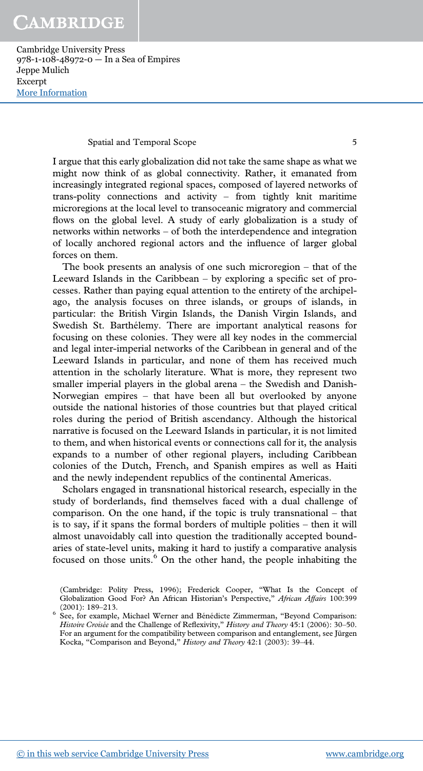Cambridge University Press 978-1-108-48972-0 — In a Sea of Empires Jeppe Mulich Excerpt [More Information](www.cambridge.org/9781108489720)

### Spatial and Temporal Scope 5

I argue that this early globalization did not take the same shape as what we might now think of as global connectivity. Rather, it emanated from increasingly integrated regional spaces, composed of layered networks of trans-polity connections and activity – from tightly knit maritime microregions at the local level to transoceanic migratory and commercial flows on the global level. A study of early globalization is a study of networks within networks – of both the interdependence and integration of locally anchored regional actors and the influence of larger global forces on them.

The book presents an analysis of one such microregion – that of the Leeward Islands in the Caribbean – by exploring a specific set of processes. Rather than paying equal attention to the entirety of the archipelago, the analysis focuses on three islands, or groups of islands, in particular: the British Virgin Islands, the Danish Virgin Islands, and Swedish St. Barthélemy. There are important analytical reasons for focusing on these colonies. They were all key nodes in the commercial and legal inter-imperial networks of the Caribbean in general and of the Leeward Islands in particular, and none of them has received much attention in the scholarly literature. What is more, they represent two smaller imperial players in the global arena – the Swedish and Danish-Norwegian empires – that have been all but overlooked by anyone outside the national histories of those countries but that played critical roles during the period of British ascendancy. Although the historical narrative is focused on the Leeward Islands in particular, it is not limited to them, and when historical events or connections call for it, the analysis expands to a number of other regional players, including Caribbean colonies of the Dutch, French, and Spanish empires as well as Haiti and the newly independent republics of the continental Americas.

Scholars engaged in transnational historical research, especially in the study of borderlands, find themselves faced with a dual challenge of comparison. On the one hand, if the topic is truly transnational – that is to say, if it spans the formal borders of multiple polities – then it will almost unavoidably call into question the traditionally accepted boundaries of state-level units, making it hard to justify a comparative analysis focused on those units.<sup>6</sup> On the other hand, the people inhabiting the

<sup>(</sup>Cambridge: Polity Press, 1996); Frederick Cooper, "What Is the Concept of Globalization Good For? An African Historian's Perspective," *African Affairs* 100:399 (2001): 189–213.

<sup>&</sup>lt;sup>6</sup> See, for example, Michael Werner and Bénédicte Zimmerman, "Beyond Comparison: *Histoire Croisée* and the Challenge of Reflexivity," *History and Theory* 45:1 (2006): 30–50. For an argument for the compatibility between comparison and entanglement, see Jürgen Kocka, "Comparison and Beyond," *History and Theory* 42:1 (2003): 39–44.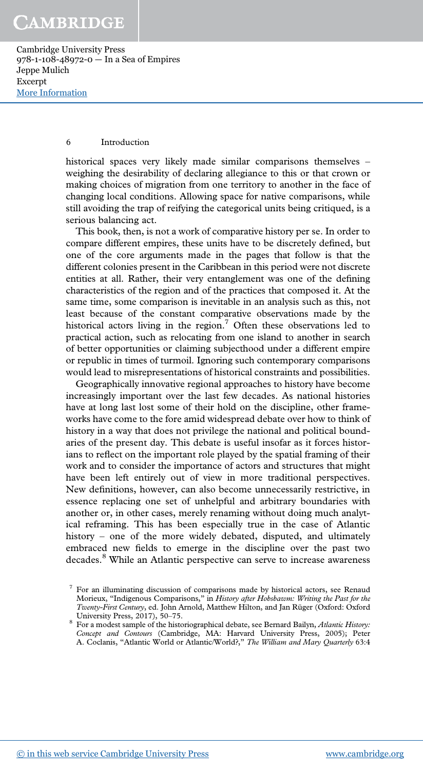#### 6 Introduction

historical spaces very likely made similar comparisons themselves – weighing the desirability of declaring allegiance to this or that crown or making choices of migration from one territory to another in the face of changing local conditions. Allowing space for native comparisons, while still avoiding the trap of reifying the categorical units being critiqued, is a serious balancing act.

This book, then, is not a work of comparative history per se. In order to compare different empires, these units have to be discretely defined, but one of the core arguments made in the pages that follow is that the different colonies present in the Caribbean in this period were not discrete entities at all. Rather, their very entanglement was one of the defining characteristics of the region and of the practices that composed it. At the same time, some comparison is inevitable in an analysis such as this, not least because of the constant comparative observations made by the historical actors living in the region.<sup>7</sup> Often these observations led to practical action, such as relocating from one island to another in search of better opportunities or claiming subjecthood under a different empire or republic in times of turmoil. Ignoring such contemporary comparisons would lead to misrepresentations of historical constraints and possibilities.

Geographically innovative regional approaches to history have become increasingly important over the last few decades. As national histories have at long last lost some of their hold on the discipline, other frameworks have come to the fore amid widespread debate over how to think of history in a way that does not privilege the national and political boundaries of the present day. This debate is useful insofar as it forces historians to reflect on the important role played by the spatial framing of their work and to consider the importance of actors and structures that might have been left entirely out of view in more traditional perspectives. New definitions, however, can also become unnecessarily restrictive, in essence replacing one set of unhelpful and arbitrary boundaries with another or, in other cases, merely renaming without doing much analytical reframing. This has been especially true in the case of Atlantic history – one of the more widely debated, disputed, and ultimately embraced new fields to emerge in the discipline over the past two decades.<sup>8</sup> While an Atlantic perspective can serve to increase awareness

 $7$  For an illuminating discussion of comparisons made by historical actors, see Renaud Morieux, "Indigenous Comparisons," in *History after Hobsbawm: Writing the Past for the Twenty-First Century*, ed. John Arnold, Matthew Hilton, and Jan Rüger (Oxford: Oxford University Press, 2017), 50–75.

<sup>8</sup> For a modest sample of the historiographical debate, see Bernard Bailyn, *Atlantic History: Concept and Contours* (Cambridge, MA: Harvard University Press, 2005); Peter A. Coclanis, "Atlantic World or Atlantic/World?," *The William and Mary Quarterly* 63:4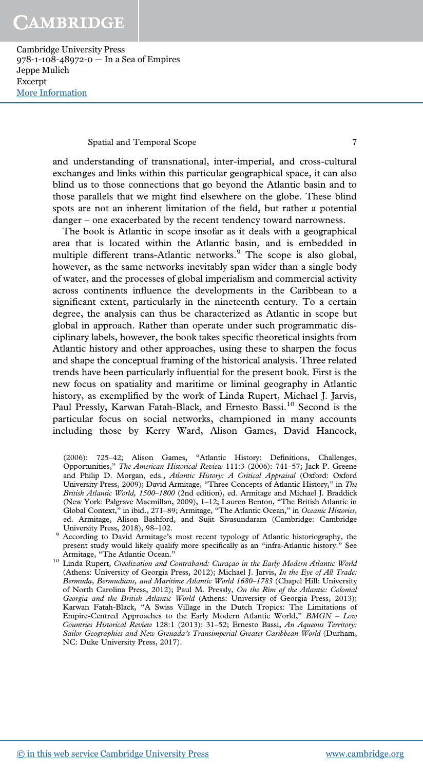Cambridge University Press 978-1-108-48972-0 — In a Sea of Empires Jeppe Mulich Excerpt [More Information](www.cambridge.org/9781108489720)

### Spatial and Temporal Scope 7

and understanding of transnational, inter-imperial, and cross-cultural exchanges and links within this particular geographical space, it can also blind us to those connections that go beyond the Atlantic basin and to those parallels that we might find elsewhere on the globe. These blind spots are not an inherent limitation of the field, but rather a potential danger – one exacerbated by the recent tendency toward narrowness.

The book is Atlantic in scope insofar as it deals with a geographical area that is located within the Atlantic basin, and is embedded in multiple different trans-Atlantic networks.<sup>9</sup> The scope is also global, however, as the same networks inevitably span wider than a single body of water, and the processes of global imperialism and commercial activity across continents influence the developments in the Caribbean to a significant extent, particularly in the nineteenth century. To a certain degree, the analysis can thus be characterized as Atlantic in scope but global in approach. Rather than operate under such programmatic disciplinary labels, however, the book takes specific theoretical insights from Atlantic history and other approaches, using these to sharpen the focus and shape the conceptual framing of the historical analysis. Three related trends have been particularly influential for the present book. First is the new focus on spatiality and maritime or liminal geography in Atlantic history, as exemplified by the work of Linda Rupert, Michael J. Jarvis, Paul Pressly, Karwan Fatah-Black, and Ernesto Bassi.<sup>10</sup> Second is the particular focus on social networks, championed in many accounts including those by Kerry Ward, Alison Games, David Hancock,

<sup>(2006):</sup> 725–42; Alison Games, "Atlantic History: Definitions, Challenges, Opportunities," *The American Historical Review* 111:3 (2006): 741–57; Jack P. Greene and Philip D. Morgan, eds., *Atlantic History: A Critical Appraisal* (Oxford: Oxford University Press, 2009); David Armitage, "Three Concepts of Atlantic History," in *The British Atlantic World, 1500–1800* (2nd edition), ed. Armitage and Michael J. Braddick (New York: Palgrave Macmillan, 2009), 1–12; Lauren Benton, "The British Atlantic in Global Context," in ibid., 271–89; Armitage, "The Atlantic Ocean," in *Oceanic Histories*, ed. Armitage, Alison Bashford, and Sujit Sivasundaram (Cambridge: Cambridge University Press, 2018), 98–102.

<sup>&</sup>lt;sup>9</sup> According to David Armitage's most recent typology of Atlantic historiography, the present study would likely qualify more specifically as an "infra-Atlantic history." See Armitage, "The Atlantic Ocean."

<sup>10</sup> Linda Rupert, *Creolization and Contraband: Curaçao in the Early Modern Atlantic World* (Athens: University of Georgia Press, 2012); Michael J. Jarvis, *In the Eye of All Trade: Bermuda, Bermudians, and Maritime Atlantic World 1680–1783* (Chapel Hill: University of North Carolina Press, 2012); Paul M. Pressly, *On the Rim of the Atlantic: Colonial Georgia and the British Atlantic World* (Athens: University of Georgia Press, 2013); Karwan Fatah-Black, "A Swiss Village in the Dutch Tropics: The Limitations of Empire-Centred Approaches to the Early Modern Atlantic World," *BMGN – Low Countries Historical Review* 128:1 (2013): 31–52; Ernesto Bassi, *An Aqueous Territory: Sailor Geographies and New Grenada's Transimperial Greater Caribbean World* (Durham, NC: Duke University Press, 2017).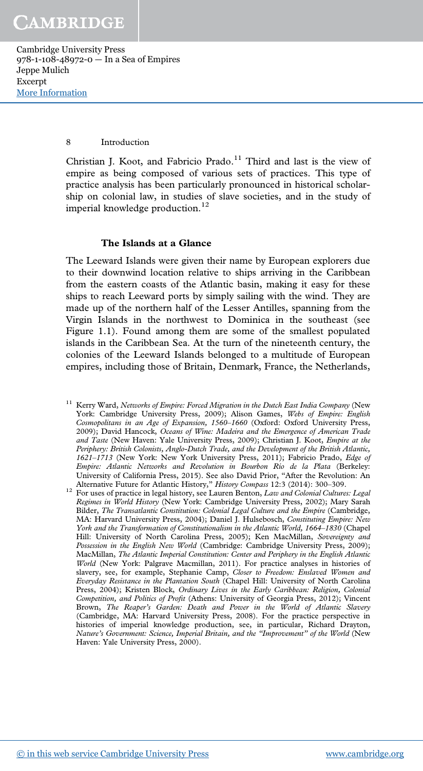8 Introduction

Christian J. Koot, and Fabricio Prado.<sup>11</sup> Third and last is the view of empire as being composed of various sets of practices. This type of practice analysis has been particularly pronounced in historical scholarship on colonial law, in studies of slave societies, and in the study of imperial knowledge production.<sup>12</sup>

### **The Islands at a Glance**

The Leeward Islands were given their name by European explorers due to their downwind location relative to ships arriving in the Caribbean from the eastern coasts of the Atlantic basin, making it easy for these ships to reach Leeward ports by simply sailing with the wind. They are made up of the northern half of the Lesser Antilles, spanning from the Virgin Islands in the northwest to Dominica in the southeast (see Figure 1.1). Found among them are some of the smallest populated islands in the Caribbean Sea. At the turn of the nineteenth century, the colonies of the Leeward Islands belonged to a multitude of European empires, including those of Britain, Denmark, France, the Netherlands,

<sup>&</sup>lt;sup>11</sup> Kerry Ward, Networks of Empire: Forced Migration in the Dutch East India Company (New York: Cambridge University Press, 2009); Alison Games, *Webs of Empire: English Cosmopolitans in an Age of Expansion, 1560–1660* (Oxford: Oxford University Press, 2009); David Hancock, *Oceans of Wine: Madeira and the Emergence of American Trade and Taste* (New Haven: Yale University Press, 2009); Christian J. Koot, *Empire at the* Periphery: British Colonists, Anglo-Dutch Trade, and the Development of the British Atlantic, *1621–1713* (New York: New York University Press, 2011); Fabricio Prado, *Edge of* Empire: Atlantic Networks and Revolution in Bourbon Río de la Plata (Berkeley: University of California Press, 2015). See also David Prior, "After the Revolution: An Alternative Future for Atlantic History," *History Compass* 12:3 (2014): 300–309.

<sup>12</sup> For uses of practice in legal history, see Lauren Benton, *Law and Colonial Cultures: Legal Regimes in World History* (New York: Cambridge University Press, 2002); Mary Sarah Bilder, *The Transatlantic Constitution: Colonial Legal Culture and the Empire* (Cambridge, MA: Harvard University Press, 2004); Daniel J. Hulsebosch, *Constituting Empire: New* York and the Transformation of Constitutionalism in the Atlantic World, 1664-1830 (Chapel Hill: University of North Carolina Press, 2005); Ken MacMillan, *Sovereignty and Possession in the English New World* (Cambridge: Cambridge University Press, 2009); MacMillan, The Atlantic Imperial Constitution: Center and Periphery in the English Atlantic *World* (New York: Palgrave Macmillan, 2011). For practice analyses in histories of slavery, see, for example, Stephanie Camp, *Closer to Freedom: Enslaved Women and Everyday Resistance in the Plantation South* (Chapel Hill: University of North Carolina Press, 2004); Kristen Block, *Ordinary Lives in the Early Caribbean: Religion, Colonial Competition, and Politics of Profit* (Athens: University of Georgia Press, 2012); Vincent Brown, The Reaper's Garden: Death and Power in the World of Atlantic Slavery (Cambridge, MA: Harvard University Press, 2008). For the practice perspective in histories of imperial knowledge production, see, in particular, Richard Drayton, Nature's Government: Science, Imperial Britain, and the "Improvement" of the World (New Haven: Yale University Press, 2000).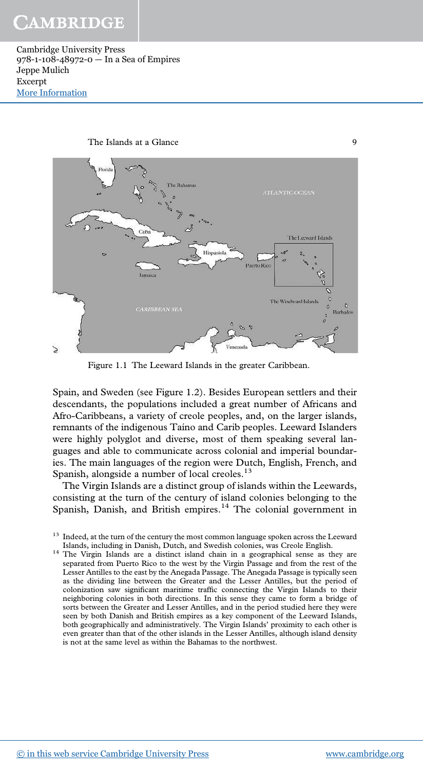Cambridge University Press 978-1-108-48972-0 — In a Sea of Empires Jeppe Mulich Excerpt [More Information](www.cambridge.org/9781108489720)



Figure 1.1 The Leeward Islands in the greater Caribbean.

Spain, and Sweden (see Figure 1.2). Besides European settlers and their descendants, the populations included a great number of Africans and Afro-Caribbeans, a variety of creole peoples, and, on the larger islands, remnants of the indigenous Taíno and Carib peoples. Leeward Islanders were highly polyglot and diverse, most of them speaking several languages and able to communicate across colonial and imperial boundaries. The main languages of the region were Dutch, English, French, and Spanish, alongside a number of local creoles.<sup>13</sup>

The Virgin Islands are a distinct group of islands within the Leewards, consisting at the turn of the century of island colonies belonging to the Spanish, Danish, and British empires.<sup>14</sup> The colonial government in

 $^{13}\,$  Indeed, at the turn of the century the most common language spoken across the Leeward Islands, including in Danish, Dutch, and Swedish colonies, was Creole English.

<sup>&</sup>lt;sup>14</sup> The Virgin Islands are a distinct island chain in a geographical sense as they are separated from Puerto Rico to the west by the Virgin Passage and from the rest of the Lesser Antilles to the east by the Anegada Passage. The Anegada Passage is typically seen as the dividing line between the Greater and the Lesser Antilles, but the period of colonization saw significant maritime traffic connecting the Virgin Islands to their neighboring colonies in both directions. In this sense they came to form a bridge of sorts between the Greater and Lesser Antilles, and in the period studied here they were seen by both Danish and British empires as a key component of the Leeward Islands, both geographically and administratively. The Virgin Islands' proximity to each other is even greater than that of the other islands in the Lesser Antilles, although island density is not at the same level as within the Bahamas to the northwest.